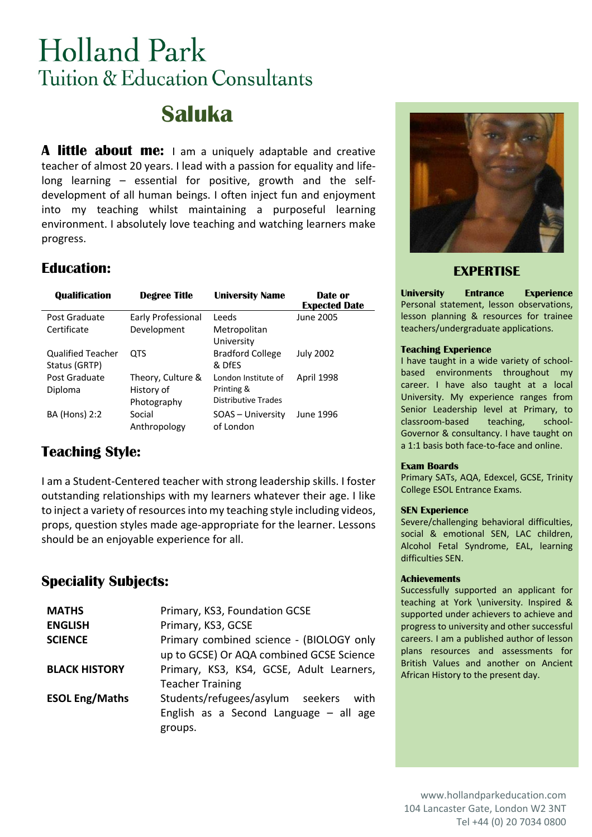# **Holland Park** Tuition & Education Consultants

## **Saluka**

**A little about me:** I am a uniquely adaptable and creative teacher of almost 20 years. I lead with a passion for equality and lifelong learning – essential for positive, growth and the selfdevelopment of all human beings. I often inject fun and enjoyment into my teaching whilst maintaining a purposeful learning environment. I absolutely love teaching and watching learners make progress.

## **Education:**

| <b>Qualification</b>     | <b>Degree Title</b> | <b>University Name</b>     | Date or<br><b>Expected Date</b> |
|--------------------------|---------------------|----------------------------|---------------------------------|
| Post Graduate            | Early Professional  | Leeds                      | June 2005                       |
| Certificate              | Development         | Metropolitan               |                                 |
|                          |                     | University                 |                                 |
| <b>Qualified Teacher</b> | OTS                 | <b>Bradford College</b>    | <b>July 2002</b>                |
| Status (GRTP)            |                     | & DfFS                     |                                 |
| Post Graduate            | Theory, Culture &   | London Institute of        | April 1998                      |
| Diploma                  | History of          | Printing &                 |                                 |
|                          | Photography         | <b>Distributive Trades</b> |                                 |
| <b>BA (Hons) 2:2</b>     | Social              | SOAS - University          | June 1996                       |
|                          | Anthropology        | of London                  |                                 |

## **Teaching Style:**

I am a Student-Centered teacher with strong leadership skills. I foster outstanding relationships with my learners whatever their age. I like to inject a variety of resources into my teaching style including videos, props, question styles made age-appropriate for the learner. Lessons should be an enjoyable experience for all.

## **Speciality Subjects:**

| <b>MATHS</b>          | Primary, KS3, Foundation GCSE            |  |  |  |  |
|-----------------------|------------------------------------------|--|--|--|--|
| <b>ENGLISH</b>        | Primary, KS3, GCSE                       |  |  |  |  |
| <b>SCIENCE</b>        | Primary combined science - (BIOLOGY only |  |  |  |  |
|                       | up to GCSE) Or AQA combined GCSE Science |  |  |  |  |
| <b>BLACK HISTORY</b>  | Primary, KS3, KS4, GCSE, Adult Learners, |  |  |  |  |
|                       | <b>Teacher Training</b>                  |  |  |  |  |
| <b>ESOL Eng/Maths</b> | Students/refugees/asylum seekers<br>with |  |  |  |  |
|                       | English as a Second Language $-$ all age |  |  |  |  |
|                       | groups.                                  |  |  |  |  |



### **EXPERTISE**

**University Entrance Experience** Personal statement, lesson observations, lesson planning & resources for trainee teachers/undergraduate applications.

#### **Teaching Experience**

I have taught in a wide variety of schoolbased environments throughout my career. I have also taught at a local University. My experience ranges from Senior Leadership level at Primary, to classroom-based teaching, school-Governor & consultancy. I have taught on a 1:1 basis both face-to-face and online.

#### **Exam Boards**

Primary SATs, AQA, Edexcel, GCSE, Trinity College ESOL Entrance Exams.

#### **SEN Experience**

Severe/challenging behavioral difficulties, social & emotional SEN, LAC children, Alcohol Fetal Syndrome, EAL, learning difficulties SEN.

#### **Achievements**

Successfully supported an applicant for teaching at York \university. Inspired & supported under achievers to achieve and progress to university and other successful careers. I am a published author of lesson plans resources and assessments for British Values and another on Ancient African History to the present day.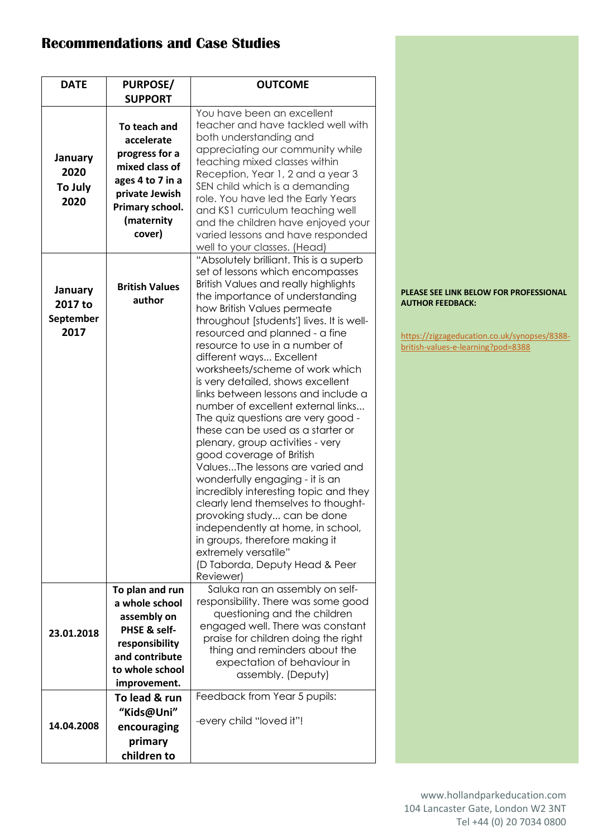## **Recommendations and Case Studies**

| <b>DATE</b>                             | <b>PURPOSE/</b>                                                                                                                                 | <b>OUTCOME</b>                                                                                                                                                                                                                                                                                                                                                                                                                                                                                                                                                                                                                                                                                                                                                                                                                                                                                                                                            |
|-----------------------------------------|-------------------------------------------------------------------------------------------------------------------------------------------------|-----------------------------------------------------------------------------------------------------------------------------------------------------------------------------------------------------------------------------------------------------------------------------------------------------------------------------------------------------------------------------------------------------------------------------------------------------------------------------------------------------------------------------------------------------------------------------------------------------------------------------------------------------------------------------------------------------------------------------------------------------------------------------------------------------------------------------------------------------------------------------------------------------------------------------------------------------------|
|                                         | <b>SUPPORT</b>                                                                                                                                  |                                                                                                                                                                                                                                                                                                                                                                                                                                                                                                                                                                                                                                                                                                                                                                                                                                                                                                                                                           |
| January<br>2020<br>To July<br>2020      | To teach and<br>accelerate<br>progress for a<br>mixed class of<br>ages 4 to 7 in a<br>private Jewish<br>Primary school.<br>(maternity<br>cover) | You have been an excellent<br>teacher and have tackled well with<br>both understanding and<br>appreciating our community while<br>teaching mixed classes within<br>Reception, Year 1, 2 and a year 3<br>SEN child which is a demanding<br>role. You have led the Early Years<br>and KS1 curriculum teaching well<br>and the children have enjoyed your<br>varied lessons and have responded<br>well to your classes. (Head)                                                                                                                                                                                                                                                                                                                                                                                                                                                                                                                               |
| January<br>2017 to<br>September<br>2017 | <b>British Values</b><br>author                                                                                                                 | "Absolutely brilliant. This is a superb<br>set of lessons which encompasses<br>British Values and really highlights<br>the importance of understanding<br>how British Values permeate<br>throughout [students'] lives. It is well-<br>resourced and planned - a fine<br>resource to use in a number of<br>different ways Excellent<br>worksheets/scheme of work which<br>is very detailed, shows excellent<br>links between lessons and include a<br>number of excellent external links<br>The quiz questions are very good -<br>these can be used as a starter or<br>plenary, group activities - very<br>good coverage of British<br>ValuesThe lessons are varied and<br>wonderfully engaging - it is an<br>incredibly interesting topic and they<br>clearly lend themselves to thought-<br>provoking study can be done<br>independently at home, in school,<br>in groups, therefore making it<br>extremely versatile"<br>(D Taborda, Deputy Head & Peer |
|                                         |                                                                                                                                                 | Reviewer)                                                                                                                                                                                                                                                                                                                                                                                                                                                                                                                                                                                                                                                                                                                                                                                                                                                                                                                                                 |
| 23.01.2018                              | To plan and run<br>a whole school<br>assembly on<br>PHSE & self-<br>responsibility<br>and contribute<br>to whole school<br>improvement.         | Saluka ran an assembly on self-<br>responsibility. There was some good<br>questioning and the children<br>engaged well. There was constant<br>praise for children doing the right<br>thing and reminders about the<br>expectation of behaviour in<br>assembly. (Deputy)                                                                                                                                                                                                                                                                                                                                                                                                                                                                                                                                                                                                                                                                                   |
| 14.04.2008                              | To lead & run<br>"Kids@Uni"<br>encouraging<br>primary<br>children to                                                                            | Feedback from Year 5 pupils:<br>-every child "loved it"!                                                                                                                                                                                                                                                                                                                                                                                                                                                                                                                                                                                                                                                                                                                                                                                                                                                                                                  |

#### **PLEASE SEE LINK BELOW FOR PROFESSIONAL AUTHOR FEEDBACK:**

https://zigzageducation.co.uk/synopses/8388 british-values-e-learning?pod=8388